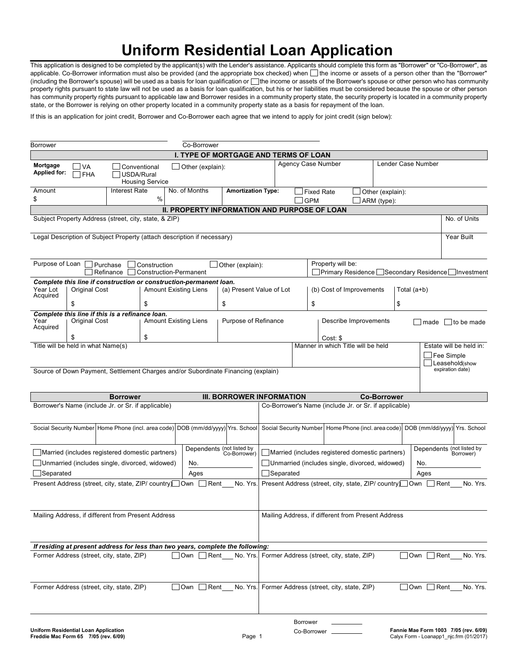## Uniform Residential Loan Application

|                                 |                                                                                                   |                                          |                                |                                                                                                    |                                                                                   |           | <b>Uniform Residential Loan Application</b>                                                                                                                                                                                                                                                                                                                                                                                                                                                                                                                                                                                                                                                                                                                                                                                                                                                                                                                                                                                                                                                                                                          |                                                        |                    |                                                                |
|---------------------------------|---------------------------------------------------------------------------------------------------|------------------------------------------|--------------------------------|----------------------------------------------------------------------------------------------------|-----------------------------------------------------------------------------------|-----------|------------------------------------------------------------------------------------------------------------------------------------------------------------------------------------------------------------------------------------------------------------------------------------------------------------------------------------------------------------------------------------------------------------------------------------------------------------------------------------------------------------------------------------------------------------------------------------------------------------------------------------------------------------------------------------------------------------------------------------------------------------------------------------------------------------------------------------------------------------------------------------------------------------------------------------------------------------------------------------------------------------------------------------------------------------------------------------------------------------------------------------------------------|--------------------------------------------------------|--------------------|----------------------------------------------------------------|
|                                 |                                                                                                   |                                          |                                |                                                                                                    |                                                                                   |           | This application is designed to be completed by the applicant(s) with the Lender's assistance. Applicants should complete this form as "Borrower" or "Co-Borrower", as<br>applicable. Co-Borrower information must also be provided (and the appropriate box checked) when I the income or assets of a person other than the "Borrower"<br>(including the Borrower's spouse) will be used as a basis for loan qualification or I the income or assets of the Borrower's spouse or other person who has community<br>property rights pursuant to state law will not be used as a basis for loan qualification, but his or her liabilities must be considered because the spouse or other person<br>has community property rights pursuant to applicable law and Borrower resides in a community property state, the security property is located in a community property<br>state, or the Borrower is relying on other property located in a community property state as a basis for repayment of the loan.<br>If this is an application for joint credit, Borrower and Co-Borrower each agree that we intend to apply for joint credit (sign below): |                                                        |                    |                                                                |
| <b>Borrower</b>                 |                                                                                                   |                                          |                                | Co-Borrower                                                                                        |                                                                                   |           |                                                                                                                                                                                                                                                                                                                                                                                                                                                                                                                                                                                                                                                                                                                                                                                                                                                                                                                                                                                                                                                                                                                                                      |                                                        |                    |                                                                |
| Mortgage<br><b>Applied for:</b> | $\square$ VA<br>$\Box$ FHA                                                                        | $\Box$ Conventional<br>$\Box$ USDA/Rural |                                | $\Box$ Other (explain):                                                                            | <b>I. TYPE OF MORTGAGE AND TERMS OF LOAN</b>                                      |           | Agency Case Number                                                                                                                                                                                                                                                                                                                                                                                                                                                                                                                                                                                                                                                                                                                                                                                                                                                                                                                                                                                                                                                                                                                                   |                                                        | Lender Case Number |                                                                |
| Amount<br>\$                    |                                                                                                   | Interest Rate                            | <b>Housing Service</b><br>$\%$ | No. of Months                                                                                      | <b>Amortization Type:</b><br><b>II. PROPERTY INFORMATION AND PURPOSE OF LOAN</b>  |           | $\Box$ Fixed Rate<br>$\Box$ GPM                                                                                                                                                                                                                                                                                                                                                                                                                                                                                                                                                                                                                                                                                                                                                                                                                                                                                                                                                                                                                                                                                                                      | $\Box$ Other (explain):<br>$\Box$ ARM (type):          |                    |                                                                |
|                                 | Subject Property Address (street, city, state, & ZIP)                                             |                                          |                                |                                                                                                    |                                                                                   |           |                                                                                                                                                                                                                                                                                                                                                                                                                                                                                                                                                                                                                                                                                                                                                                                                                                                                                                                                                                                                                                                                                                                                                      |                                                        |                    | No. of Units                                                   |
|                                 |                                                                                                   |                                          |                                | Legal Description of Subject Property (attach description if necessary)                            |                                                                                   |           |                                                                                                                                                                                                                                                                                                                                                                                                                                                                                                                                                                                                                                                                                                                                                                                                                                                                                                                                                                                                                                                                                                                                                      |                                                        |                    | Year Built                                                     |
|                                 | Purpose of Loan □ Purchase                                                                        | Refinance Construction-Permanent         | $\Box$ Construction            |                                                                                                    | $\Box$ Other (explain):                                                           |           | Property will be:                                                                                                                                                                                                                                                                                                                                                                                                                                                                                                                                                                                                                                                                                                                                                                                                                                                                                                                                                                                                                                                                                                                                    | □ Primary Residence □ Secondary Residence □ Investment |                    |                                                                |
| Year Lot<br>Acquired            | <b>Original Cost</b>                                                                              |                                          | \$                             | Complete this line if construction or construction-permanent loan.<br><b>Amount Existing Liens</b> | (a) Present Value of Lot<br>\$                                                    |           | (b) Cost of Improvements<br>\$                                                                                                                                                                                                                                                                                                                                                                                                                                                                                                                                                                                                                                                                                                                                                                                                                                                                                                                                                                                                                                                                                                                       | \$                                                     | Total (a+b)        |                                                                |
| Year<br>Acquired                | Complete this line if this is a refinance loan.<br>  Original Cost                                |                                          |                                |                                                                                                    | Amount Existing Liens   Purpose of Refinance                                      |           | Describe Improvements                                                                                                                                                                                                                                                                                                                                                                                                                                                                                                                                                                                                                                                                                                                                                                                                                                                                                                                                                                                                                                                                                                                                |                                                        |                    | $\Box$ made $\Box$ to be made                                  |
|                                 | \$.<br>Title will be held in what Name(s)                                                         |                                          | \$                             |                                                                                                    |                                                                                   |           | Cost: \$<br>Manner in which Title will be held                                                                                                                                                                                                                                                                                                                                                                                                                                                                                                                                                                                                                                                                                                                                                                                                                                                                                                                                                                                                                                                                                                       |                                                        |                    | Estate will be held in:<br>$\Box$ Fee Simple<br>Leasehold(show |
|                                 |                                                                                                   |                                          |                                |                                                                                                    | Source of Down Payment, Settlement Charges and/or Subordinate Financing (explain) |           |                                                                                                                                                                                                                                                                                                                                                                                                                                                                                                                                                                                                                                                                                                                                                                                                                                                                                                                                                                                                                                                                                                                                                      |                                                        |                    | expiration date)                                               |
|                                 |                                                                                                   | <b>Borrower</b>                          |                                |                                                                                                    | <b>III. BORROWER INFORMATION</b>                                                  |           |                                                                                                                                                                                                                                                                                                                                                                                                                                                                                                                                                                                                                                                                                                                                                                                                                                                                                                                                                                                                                                                                                                                                                      | <b>Co-Borrower</b>                                     |                    |                                                                |
|                                 | Borrower's Name (include Jr. or Sr. if applicable)                                                |                                          |                                |                                                                                                    |                                                                                   |           | Co-Borrower's Name (include Jr. or Sr. if applicable)                                                                                                                                                                                                                                                                                                                                                                                                                                                                                                                                                                                                                                                                                                                                                                                                                                                                                                                                                                                                                                                                                                |                                                        |                    |                                                                |
|                                 |                                                                                                   |                                          |                                |                                                                                                    |                                                                                   |           | Social Security Number Home Phone (incl. area code) DOB (mm/dd/yyyy) Yrs. School Social Security Number   Home Phone (incl. area code) DOB (mm/dd/yyyy) Yrs. School                                                                                                                                                                                                                                                                                                                                                                                                                                                                                                                                                                                                                                                                                                                                                                                                                                                                                                                                                                                  |                                                        |                    |                                                                |
| Separated                       | Married (includes registered domestic partners)<br>Unmarried (includes single, divorced, widowed) |                                          |                                | No.<br>Ages                                                                                        | Dependents (not listed by<br>Co-Borrower)                                         | Separated | Married (includes registered domestic partners)<br>Unmarried (includes single, divorced, widowed)                                                                                                                                                                                                                                                                                                                                                                                                                                                                                                                                                                                                                                                                                                                                                                                                                                                                                                                                                                                                                                                    |                                                        | No.<br>Ages        | Dependents (not listed by<br>Borrower)                         |
|                                 |                                                                                                   |                                          |                                | Present Address (street, city, state, ZIP/ country) Own Rent __ No. Yrs.                           |                                                                                   |           | Present Address (street, city, state, ZIP/ country) Own Rent No. Yrs.                                                                                                                                                                                                                                                                                                                                                                                                                                                                                                                                                                                                                                                                                                                                                                                                                                                                                                                                                                                                                                                                                |                                                        |                    |                                                                |
|                                 | Mailing Address, if different from Present Address                                                |                                          |                                |                                                                                                    |                                                                                   |           | Mailing Address, if different from Present Address                                                                                                                                                                                                                                                                                                                                                                                                                                                                                                                                                                                                                                                                                                                                                                                                                                                                                                                                                                                                                                                                                                   |                                                        |                    |                                                                |
|                                 | Former Address (street, city, state, ZIP)                                                         |                                          |                                |                                                                                                    | If residing at present address for less than two years, complete the following:   |           | □ Own □ Rent __ No. Yrs. Former Address (street, city, state, ZIP)                                                                                                                                                                                                                                                                                                                                                                                                                                                                                                                                                                                                                                                                                                                                                                                                                                                                                                                                                                                                                                                                                   |                                                        |                    | □ Own □ Rent No. Yrs.                                          |
|                                 | Former Address (street, city, state, ZIP)                                                         |                                          |                                |                                                                                                    |                                                                                   |           | □ Own □ Rent ___ No. Yrs. Former Address (street, city, state, ZIP)                                                                                                                                                                                                                                                                                                                                                                                                                                                                                                                                                                                                                                                                                                                                                                                                                                                                                                                                                                                                                                                                                  |                                                        |                    | □ Own □ Rent No. Yrs.                                          |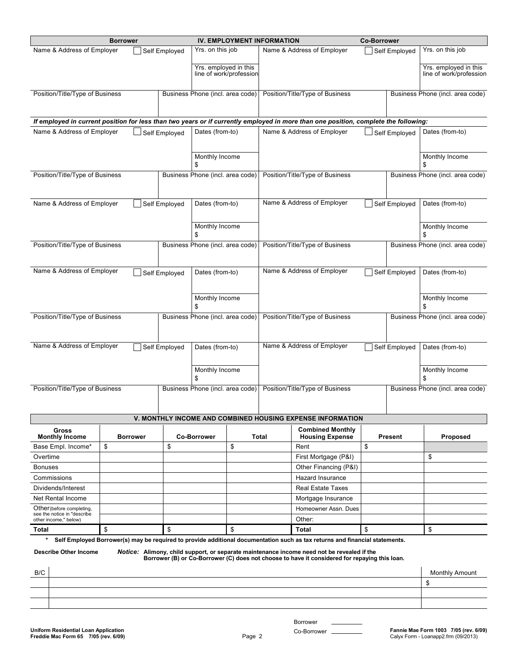| Name & Address of Employer                                                        |                 |                 |                            |                                                  |       |                                                                                                                                                                                             |                    |                      |                                                  |
|-----------------------------------------------------------------------------------|-----------------|-----------------|----------------------------|--------------------------------------------------|-------|---------------------------------------------------------------------------------------------------------------------------------------------------------------------------------------------|--------------------|----------------------|--------------------------------------------------|
|                                                                                   | <b>Borrower</b> |                 |                            | IV. EMPLOYMENT INFORMATION<br>Yrs. on this job   |       | Name & Address of Employer                                                                                                                                                                  | <b>Co-Borrower</b> |                      | Yrs. on this job                                 |
|                                                                                   |                 |                 | $\Box$ Self Employed       |                                                  |       |                                                                                                                                                                                             |                    | $\Box$ Self Employed |                                                  |
|                                                                                   |                 |                 |                            | Yrs. employed in this<br>line of work/profession |       |                                                                                                                                                                                             |                    |                      | Yrs. employed in this<br>line of work/profession |
|                                                                                   |                 |                 |                            |                                                  |       |                                                                                                                                                                                             |                    |                      |                                                  |
| Position/Title/Type of Business                                                   |                 |                 |                            | Business Phone (incl. area code)                 |       | Position/Title/Type of Business                                                                                                                                                             |                    |                      | Business Phone (incl. area code)                 |
|                                                                                   |                 |                 |                            |                                                  |       |                                                                                                                                                                                             |                    |                      |                                                  |
|                                                                                   |                 |                 |                            |                                                  |       | If employed in current position for less than two years or if currently employed in more than one position, complete the following:                                                         |                    |                      |                                                  |
| Name & Address of Employer                                                        |                 |                 | $\!\!\!\Box$ Self Employed | Dates (from-to)                                  |       | Name & Address of Employer                                                                                                                                                                  |                    | Self Employed        | Dates (from-to)                                  |
|                                                                                   |                 |                 |                            | Monthly Income                                   |       |                                                                                                                                                                                             |                    |                      | Monthly Income                                   |
|                                                                                   |                 |                 |                            | \$                                               |       |                                                                                                                                                                                             |                    |                      | \$                                               |
| Position/Title/Type of Business                                                   |                 |                 |                            | Business Phone (incl. area code)                 |       | Position/Title/Type of Business                                                                                                                                                             |                    |                      | Business Phone (incl. area code)                 |
|                                                                                   |                 |                 |                            |                                                  |       |                                                                                                                                                                                             |                    |                      |                                                  |
| Name & Address of Employer                                                        |                 |                 | Self Employed              | Dates (from-to)                                  |       | Name & Address of Employer                                                                                                                                                                  |                    | Self Employed        | Dates (from-to)                                  |
|                                                                                   |                 |                 |                            | Monthly Income                                   |       |                                                                                                                                                                                             |                    |                      | Monthly Income                                   |
|                                                                                   |                 |                 |                            | \$                                               |       |                                                                                                                                                                                             |                    |                      |                                                  |
| Position/Title/Type of Business                                                   |                 |                 |                            | Business Phone (incl. area code)                 |       | Position/Title/Type of Business                                                                                                                                                             |                    |                      | Business Phone (incl. area code)                 |
|                                                                                   |                 |                 |                            |                                                  |       |                                                                                                                                                                                             |                    |                      |                                                  |
| Name & Address of Employer                                                        |                 |                 | Self Employed              | Dates (from-to)                                  |       | Name & Address of Employer                                                                                                                                                                  |                    | Self Employed        | Dates (from-to)                                  |
|                                                                                   |                 |                 |                            |                                                  |       |                                                                                                                                                                                             |                    |                      |                                                  |
|                                                                                   |                 |                 |                            | Monthly Income<br>\$                             |       |                                                                                                                                                                                             |                    |                      | Monthly Income<br>\$                             |
| Position/Title/Type of Business                                                   |                 |                 |                            | Business Phone (incl. area code)                 |       | Position/Title/Type of Business                                                                                                                                                             |                    |                      | Business Phone (incl. area code)                 |
|                                                                                   |                 |                 |                            |                                                  |       |                                                                                                                                                                                             |                    |                      |                                                  |
| Name & Address of Employer                                                        |                 |                 | Self Employed              | Dates (from-to)                                  |       | Name & Address of Employer                                                                                                                                                                  |                    | Self Employed        | Dates (from-to)                                  |
|                                                                                   |                 |                 |                            |                                                  |       |                                                                                                                                                                                             |                    |                      |                                                  |
|                                                                                   |                 |                 |                            | Monthly Income                                   |       |                                                                                                                                                                                             |                    |                      | Monthly Income                                   |
| Position/Title/Type of Business                                                   |                 |                 |                            | \$<br>Business Phone (incl. area code)           |       | Position/Title/Type of Business                                                                                                                                                             |                    |                      | \$                                               |
|                                                                                   |                 |                 |                            |                                                  |       |                                                                                                                                                                                             |                    |                      | Business Phone (incl. area code)                 |
|                                                                                   |                 |                 |                            |                                                  |       |                                                                                                                                                                                             |                    |                      |                                                  |
| Gross                                                                             |                 |                 |                            |                                                  |       | V. MONTHLY INCOME AND COMBINED HOUSING EXPENSE INFORMATION<br><b>Combined Monthly</b>                                                                                                       |                    |                      |                                                  |
| <b>Monthly Income</b>                                                             |                 | <b>Borrower</b> |                            | <b>Co-Borrower</b>                               | Total | <b>Housing Expense</b>                                                                                                                                                                      |                    | Present              | Proposed                                         |
| Base Empl. Income*                                                                | \$              |                 | \$                         | \$                                               |       | Rent                                                                                                                                                                                        | \$                 |                      |                                                  |
| Overtime<br><b>Bonuses</b>                                                        |                 |                 |                            |                                                  |       | First Mortgage (P&I)<br>Other Financing (P&I)                                                                                                                                               |                    |                      | \$                                               |
| Commissions                                                                       |                 |                 |                            |                                                  |       | Hazard Insurance                                                                                                                                                                            |                    |                      |                                                  |
| Dividends/Interest                                                                |                 |                 |                            |                                                  |       | <b>Real Estate Taxes</b>                                                                                                                                                                    |                    |                      |                                                  |
| Net Rental Income                                                                 |                 |                 |                            |                                                  |       | Mortgage Insurance                                                                                                                                                                          |                    |                      |                                                  |
| Other (before completing,<br>see the notice in "describe<br>other income," below) |                 |                 |                            |                                                  |       | Homeowner Assn. Dues<br>Other:                                                                                                                                                              |                    |                      |                                                  |
| <b>Total</b>                                                                      | \$              |                 | \$                         | \$                                               |       | <b>Total</b>                                                                                                                                                                                | \$                 |                      | \$                                               |
|                                                                                   |                 |                 |                            |                                                  |       | Self Employed Borrower(s) may be required to provide additional documentation such as tax returns and financial statements.                                                                 |                    |                      |                                                  |
|                                                                                   |                 |                 |                            |                                                  |       | Notice: Alimony, child support, or separate maintenance income need not be revealed if the<br>Borrower (B) or Co-Borrower (C) does not choose to have it considered for repaying this loan. |                    |                      |                                                  |
| <b>Describe Other Income</b>                                                      |                 |                 |                            |                                                  |       |                                                                                                                                                                                             |                    |                      |                                                  |
|                                                                                   |                 |                 |                            |                                                  |       |                                                                                                                                                                                             |                    |                      | <b>Monthly Amount</b>                            |
| $\mathsf{B}/\mathsf{C}$                                                           |                 |                 |                            |                                                  |       |                                                                                                                                                                                             |                    |                      |                                                  |
|                                                                                   |                 |                 |                            |                                                  |       |                                                                                                                                                                                             |                    |                      | \$                                               |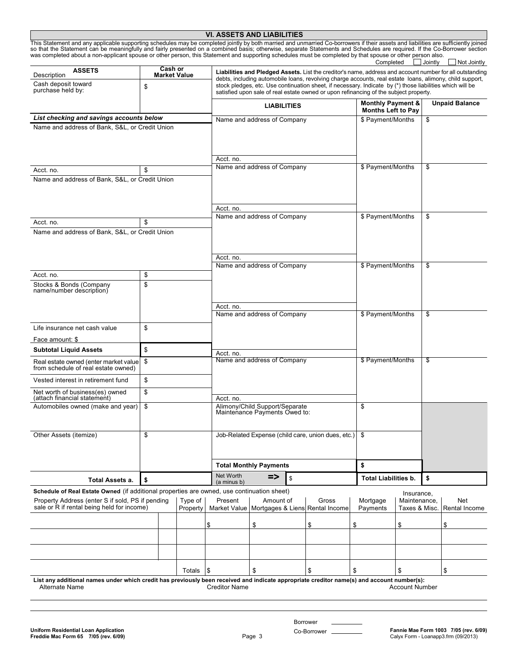| <b>VI. ASSETS AND LIABILITIES</b><br>This Statement and any applicable supporting schedules may be completed jointly by both married and unmarried Co-borrowers if their assets and liabilities are sufficiently joined<br>so that the Statement can be meaningfully and fairly presented on a combined basis; otherwise, separate Statements and Schedules are required. If the Co-Borrower section<br>was completed about a non-applicant spouse or other person, this Statement and supporting schedules must be completed by that spouse or other person also.<br>Completed<br>$\Box$ Jointly<br>Cash or<br><b>ASSETS</b><br><b>Market Value</b><br>Description<br>Cash deposit toward<br>stock pledges, etc. Use continuation sheet, if necessary. Indicate by (*) those liabilities which will be<br>\$<br>purchase held by:<br>satisfied upon sale of real estate owned or upon refinancing of the subject property.<br><b>Monthly Payment &amp;</b><br><b>LIABILITIES</b><br><b>Months Left to Pay</b><br>List checking and savings accounts below<br>Name and address of Company<br>\$ Payment/Months<br>\$<br>Name and address of Bank, S&L, or Credit Union<br>Acct. no.<br>Name and address of Company<br>\$ Payment/Months<br>\$<br>\$<br>Acct. no.<br>Name and address of Bank, S&L, or Credit Union<br>Acct. no.<br>\$<br>Name and address of Company<br>\$ Payment/Months<br>\$<br>Acct. no.<br>Name and address of Bank, S&L, or Credit Union<br>Acct. no.<br>Name and address of Company<br>\$ Payment/Months<br>\$<br>\$<br>Acct. no.<br>Stocks & Bonds (Company<br>\$<br>name/number description)<br>Acct. no.<br>Name and address of Company<br>\$<br>\$ Payment/Months<br>\$<br>Life insurance net cash value<br>Face amount: \$<br>\$<br><b>Subtotal Liquid Assets</b><br>Acct. no.<br>Name and address of Company<br>\$ Payment/Months<br>S.<br>Real estate owned (enter market value \$<br>from schedule of real estate owned)<br>\$<br>Vested interest in retirement fund<br>\$<br>Net worth of business(es) owned<br>(attach financial statement)<br>Acct. no.<br>Alimony/Child Support/Separate<br>Maintenance Payments Owed to:<br>Automobiles owned (make and year)   \$<br>\$ |
|--------------------------------------------------------------------------------------------------------------------------------------------------------------------------------------------------------------------------------------------------------------------------------------------------------------------------------------------------------------------------------------------------------------------------------------------------------------------------------------------------------------------------------------------------------------------------------------------------------------------------------------------------------------------------------------------------------------------------------------------------------------------------------------------------------------------------------------------------------------------------------------------------------------------------------------------------------------------------------------------------------------------------------------------------------------------------------------------------------------------------------------------------------------------------------------------------------------------------------------------------------------------------------------------------------------------------------------------------------------------------------------------------------------------------------------------------------------------------------------------------------------------------------------------------------------------------------------------------------------------------------------------------------------------------------------------------------------------------------------------------------------------------------------------------------------------------------------------------------------------------------------------------------------------------------------------------------------------------------------------------------------------------------------------------------------------------------------------------------------------------------------------------------------------------------------------------------------|
| Not Jointly<br>Liabilities and Pledged Assets. List the creditor's name, address and account number for all outstanding<br>debts, including automobile loans, revolving charge accounts, real estate loans, alimony, child support,<br><b>Unpaid Balance</b>                                                                                                                                                                                                                                                                                                                                                                                                                                                                                                                                                                                                                                                                                                                                                                                                                                                                                                                                                                                                                                                                                                                                                                                                                                                                                                                                                                                                                                                                                                                                                                                                                                                                                                                                                                                                                                                                                                                                                 |
|                                                                                                                                                                                                                                                                                                                                                                                                                                                                                                                                                                                                                                                                                                                                                                                                                                                                                                                                                                                                                                                                                                                                                                                                                                                                                                                                                                                                                                                                                                                                                                                                                                                                                                                                                                                                                                                                                                                                                                                                                                                                                                                                                                                                              |
|                                                                                                                                                                                                                                                                                                                                                                                                                                                                                                                                                                                                                                                                                                                                                                                                                                                                                                                                                                                                                                                                                                                                                                                                                                                                                                                                                                                                                                                                                                                                                                                                                                                                                                                                                                                                                                                                                                                                                                                                                                                                                                                                                                                                              |
|                                                                                                                                                                                                                                                                                                                                                                                                                                                                                                                                                                                                                                                                                                                                                                                                                                                                                                                                                                                                                                                                                                                                                                                                                                                                                                                                                                                                                                                                                                                                                                                                                                                                                                                                                                                                                                                                                                                                                                                                                                                                                                                                                                                                              |
|                                                                                                                                                                                                                                                                                                                                                                                                                                                                                                                                                                                                                                                                                                                                                                                                                                                                                                                                                                                                                                                                                                                                                                                                                                                                                                                                                                                                                                                                                                                                                                                                                                                                                                                                                                                                                                                                                                                                                                                                                                                                                                                                                                                                              |
|                                                                                                                                                                                                                                                                                                                                                                                                                                                                                                                                                                                                                                                                                                                                                                                                                                                                                                                                                                                                                                                                                                                                                                                                                                                                                                                                                                                                                                                                                                                                                                                                                                                                                                                                                                                                                                                                                                                                                                                                                                                                                                                                                                                                              |
|                                                                                                                                                                                                                                                                                                                                                                                                                                                                                                                                                                                                                                                                                                                                                                                                                                                                                                                                                                                                                                                                                                                                                                                                                                                                                                                                                                                                                                                                                                                                                                                                                                                                                                                                                                                                                                                                                                                                                                                                                                                                                                                                                                                                              |
|                                                                                                                                                                                                                                                                                                                                                                                                                                                                                                                                                                                                                                                                                                                                                                                                                                                                                                                                                                                                                                                                                                                                                                                                                                                                                                                                                                                                                                                                                                                                                                                                                                                                                                                                                                                                                                                                                                                                                                                                                                                                                                                                                                                                              |
|                                                                                                                                                                                                                                                                                                                                                                                                                                                                                                                                                                                                                                                                                                                                                                                                                                                                                                                                                                                                                                                                                                                                                                                                                                                                                                                                                                                                                                                                                                                                                                                                                                                                                                                                                                                                                                                                                                                                                                                                                                                                                                                                                                                                              |
|                                                                                                                                                                                                                                                                                                                                                                                                                                                                                                                                                                                                                                                                                                                                                                                                                                                                                                                                                                                                                                                                                                                                                                                                                                                                                                                                                                                                                                                                                                                                                                                                                                                                                                                                                                                                                                                                                                                                                                                                                                                                                                                                                                                                              |
|                                                                                                                                                                                                                                                                                                                                                                                                                                                                                                                                                                                                                                                                                                                                                                                                                                                                                                                                                                                                                                                                                                                                                                                                                                                                                                                                                                                                                                                                                                                                                                                                                                                                                                                                                                                                                                                                                                                                                                                                                                                                                                                                                                                                              |
|                                                                                                                                                                                                                                                                                                                                                                                                                                                                                                                                                                                                                                                                                                                                                                                                                                                                                                                                                                                                                                                                                                                                                                                                                                                                                                                                                                                                                                                                                                                                                                                                                                                                                                                                                                                                                                                                                                                                                                                                                                                                                                                                                                                                              |
|                                                                                                                                                                                                                                                                                                                                                                                                                                                                                                                                                                                                                                                                                                                                                                                                                                                                                                                                                                                                                                                                                                                                                                                                                                                                                                                                                                                                                                                                                                                                                                                                                                                                                                                                                                                                                                                                                                                                                                                                                                                                                                                                                                                                              |
|                                                                                                                                                                                                                                                                                                                                                                                                                                                                                                                                                                                                                                                                                                                                                                                                                                                                                                                                                                                                                                                                                                                                                                                                                                                                                                                                                                                                                                                                                                                                                                                                                                                                                                                                                                                                                                                                                                                                                                                                                                                                                                                                                                                                              |
|                                                                                                                                                                                                                                                                                                                                                                                                                                                                                                                                                                                                                                                                                                                                                                                                                                                                                                                                                                                                                                                                                                                                                                                                                                                                                                                                                                                                                                                                                                                                                                                                                                                                                                                                                                                                                                                                                                                                                                                                                                                                                                                                                                                                              |
|                                                                                                                                                                                                                                                                                                                                                                                                                                                                                                                                                                                                                                                                                                                                                                                                                                                                                                                                                                                                                                                                                                                                                                                                                                                                                                                                                                                                                                                                                                                                                                                                                                                                                                                                                                                                                                                                                                                                                                                                                                                                                                                                                                                                              |
|                                                                                                                                                                                                                                                                                                                                                                                                                                                                                                                                                                                                                                                                                                                                                                                                                                                                                                                                                                                                                                                                                                                                                                                                                                                                                                                                                                                                                                                                                                                                                                                                                                                                                                                                                                                                                                                                                                                                                                                                                                                                                                                                                                                                              |
|                                                                                                                                                                                                                                                                                                                                                                                                                                                                                                                                                                                                                                                                                                                                                                                                                                                                                                                                                                                                                                                                                                                                                                                                                                                                                                                                                                                                                                                                                                                                                                                                                                                                                                                                                                                                                                                                                                                                                                                                                                                                                                                                                                                                              |
|                                                                                                                                                                                                                                                                                                                                                                                                                                                                                                                                                                                                                                                                                                                                                                                                                                                                                                                                                                                                                                                                                                                                                                                                                                                                                                                                                                                                                                                                                                                                                                                                                                                                                                                                                                                                                                                                                                                                                                                                                                                                                                                                                                                                              |
|                                                                                                                                                                                                                                                                                                                                                                                                                                                                                                                                                                                                                                                                                                                                                                                                                                                                                                                                                                                                                                                                                                                                                                                                                                                                                                                                                                                                                                                                                                                                                                                                                                                                                                                                                                                                                                                                                                                                                                                                                                                                                                                                                                                                              |
|                                                                                                                                                                                                                                                                                                                                                                                                                                                                                                                                                                                                                                                                                                                                                                                                                                                                                                                                                                                                                                                                                                                                                                                                                                                                                                                                                                                                                                                                                                                                                                                                                                                                                                                                                                                                                                                                                                                                                                                                                                                                                                                                                                                                              |
|                                                                                                                                                                                                                                                                                                                                                                                                                                                                                                                                                                                                                                                                                                                                                                                                                                                                                                                                                                                                                                                                                                                                                                                                                                                                                                                                                                                                                                                                                                                                                                                                                                                                                                                                                                                                                                                                                                                                                                                                                                                                                                                                                                                                              |
|                                                                                                                                                                                                                                                                                                                                                                                                                                                                                                                                                                                                                                                                                                                                                                                                                                                                                                                                                                                                                                                                                                                                                                                                                                                                                                                                                                                                                                                                                                                                                                                                                                                                                                                                                                                                                                                                                                                                                                                                                                                                                                                                                                                                              |
|                                                                                                                                                                                                                                                                                                                                                                                                                                                                                                                                                                                                                                                                                                                                                                                                                                                                                                                                                                                                                                                                                                                                                                                                                                                                                                                                                                                                                                                                                                                                                                                                                                                                                                                                                                                                                                                                                                                                                                                                                                                                                                                                                                                                              |
|                                                                                                                                                                                                                                                                                                                                                                                                                                                                                                                                                                                                                                                                                                                                                                                                                                                                                                                                                                                                                                                                                                                                                                                                                                                                                                                                                                                                                                                                                                                                                                                                                                                                                                                                                                                                                                                                                                                                                                                                                                                                                                                                                                                                              |
|                                                                                                                                                                                                                                                                                                                                                                                                                                                                                                                                                                                                                                                                                                                                                                                                                                                                                                                                                                                                                                                                                                                                                                                                                                                                                                                                                                                                                                                                                                                                                                                                                                                                                                                                                                                                                                                                                                                                                                                                                                                                                                                                                                                                              |
|                                                                                                                                                                                                                                                                                                                                                                                                                                                                                                                                                                                                                                                                                                                                                                                                                                                                                                                                                                                                                                                                                                                                                                                                                                                                                                                                                                                                                                                                                                                                                                                                                                                                                                                                                                                                                                                                                                                                                                                                                                                                                                                                                                                                              |
|                                                                                                                                                                                                                                                                                                                                                                                                                                                                                                                                                                                                                                                                                                                                                                                                                                                                                                                                                                                                                                                                                                                                                                                                                                                                                                                                                                                                                                                                                                                                                                                                                                                                                                                                                                                                                                                                                                                                                                                                                                                                                                                                                                                                              |
|                                                                                                                                                                                                                                                                                                                                                                                                                                                                                                                                                                                                                                                                                                                                                                                                                                                                                                                                                                                                                                                                                                                                                                                                                                                                                                                                                                                                                                                                                                                                                                                                                                                                                                                                                                                                                                                                                                                                                                                                                                                                                                                                                                                                              |
| \$<br>Job-Related Expense (child care, union dues, etc.) \$<br>Other Assets (itemize)                                                                                                                                                                                                                                                                                                                                                                                                                                                                                                                                                                                                                                                                                                                                                                                                                                                                                                                                                                                                                                                                                                                                                                                                                                                                                                                                                                                                                                                                                                                                                                                                                                                                                                                                                                                                                                                                                                                                                                                                                                                                                                                        |
|                                                                                                                                                                                                                                                                                                                                                                                                                                                                                                                                                                                                                                                                                                                                                                                                                                                                                                                                                                                                                                                                                                                                                                                                                                                                                                                                                                                                                                                                                                                                                                                                                                                                                                                                                                                                                                                                                                                                                                                                                                                                                                                                                                                                              |
| \$<br><b>Total Monthly Payments</b>                                                                                                                                                                                                                                                                                                                                                                                                                                                                                                                                                                                                                                                                                                                                                                                                                                                                                                                                                                                                                                                                                                                                                                                                                                                                                                                                                                                                                                                                                                                                                                                                                                                                                                                                                                                                                                                                                                                                                                                                                                                                                                                                                                          |
| Net Worth<br>$\Rightarrow$<br>\$<br><b>Total Liabilities b.</b><br>l \$                                                                                                                                                                                                                                                                                                                                                                                                                                                                                                                                                                                                                                                                                                                                                                                                                                                                                                                                                                                                                                                                                                                                                                                                                                                                                                                                                                                                                                                                                                                                                                                                                                                                                                                                                                                                                                                                                                                                                                                                                                                                                                                                      |
| \$<br>Total Assets a.<br>(a minus b)<br>Schedule of Real Estate Owned (if additional properties are owned, use continuation sheet)                                                                                                                                                                                                                                                                                                                                                                                                                                                                                                                                                                                                                                                                                                                                                                                                                                                                                                                                                                                                                                                                                                                                                                                                                                                                                                                                                                                                                                                                                                                                                                                                                                                                                                                                                                                                                                                                                                                                                                                                                                                                           |
| Insurance,<br>Property Address (enter S if sold, PS if pending<br>Maintenance,<br>Type of<br>Present<br>Amount of<br>Gross<br>Mortgage<br>Net                                                                                                                                                                                                                                                                                                                                                                                                                                                                                                                                                                                                                                                                                                                                                                                                                                                                                                                                                                                                                                                                                                                                                                                                                                                                                                                                                                                                                                                                                                                                                                                                                                                                                                                                                                                                                                                                                                                                                                                                                                                                |
| sale or R if rental being held for income)<br>Property   Market Value   Mortgages & Liens Rental Income<br>Taxes & Misc.<br>Rental Income<br>Payments                                                                                                                                                                                                                                                                                                                                                                                                                                                                                                                                                                                                                                                                                                                                                                                                                                                                                                                                                                                                                                                                                                                                                                                                                                                                                                                                                                                                                                                                                                                                                                                                                                                                                                                                                                                                                                                                                                                                                                                                                                                        |
| \$<br>\$<br>\$<br>\$<br>ደ                                                                                                                                                                                                                                                                                                                                                                                                                                                                                                                                                                                                                                                                                                                                                                                                                                                                                                                                                                                                                                                                                                                                                                                                                                                                                                                                                                                                                                                                                                                                                                                                                                                                                                                                                                                                                                                                                                                                                                                                                                                                                                                                                                                    |
|                                                                                                                                                                                                                                                                                                                                                                                                                                                                                                                                                                                                                                                                                                                                                                                                                                                                                                                                                                                                                                                                                                                                                                                                                                                                                                                                                                                                                                                                                                                                                                                                                                                                                                                                                                                                                                                                                                                                                                                                                                                                                                                                                                                                              |
|                                                                                                                                                                                                                                                                                                                                                                                                                                                                                                                                                                                                                                                                                                                                                                                                                                                                                                                                                                                                                                                                                                                                                                                                                                                                                                                                                                                                                                                                                                                                                                                                                                                                                                                                                                                                                                                                                                                                                                                                                                                                                                                                                                                                              |
|                                                                                                                                                                                                                                                                                                                                                                                                                                                                                                                                                                                                                                                                                                                                                                                                                                                                                                                                                                                                                                                                                                                                                                                                                                                                                                                                                                                                                                                                                                                                                                                                                                                                                                                                                                                                                                                                                                                                                                                                                                                                                                                                                                                                              |
| \$<br>\$<br>Totals $ $ \$<br>-\$<br>\$<br>\$.<br>List any additional names under which credit has previously been received and indicate appropriate creditor name(s) and account number(s):                                                                                                                                                                                                                                                                                                                                                                                                                                                                                                                                                                                                                                                                                                                                                                                                                                                                                                                                                                                                                                                                                                                                                                                                                                                                                                                                                                                                                                                                                                                                                                                                                                                                                                                                                                                                                                                                                                                                                                                                                  |
| <b>Creditor Name</b><br>Alternate Name<br><b>Account Number</b>                                                                                                                                                                                                                                                                                                                                                                                                                                                                                                                                                                                                                                                                                                                                                                                                                                                                                                                                                                                                                                                                                                                                                                                                                                                                                                                                                                                                                                                                                                                                                                                                                                                                                                                                                                                                                                                                                                                                                                                                                                                                                                                                              |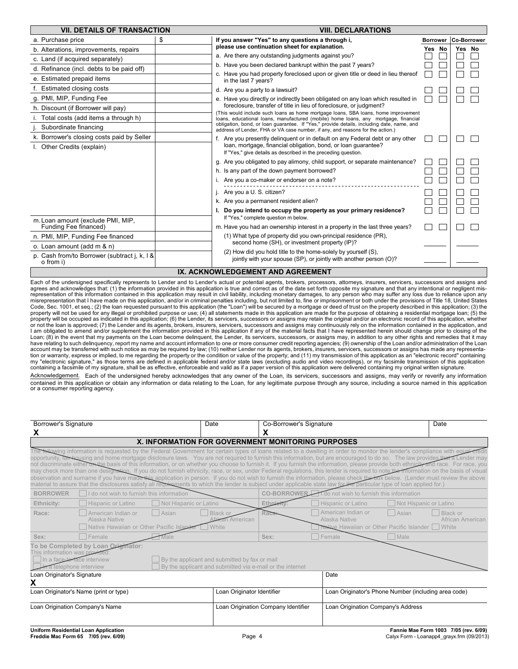| <b>VII. DETAILS OF TRANSACTION</b>                         | <b>VIII. DECLARATIONS</b>                                                                                                                                                             |                    |                                                                                                                                                                                              |
|------------------------------------------------------------|---------------------------------------------------------------------------------------------------------------------------------------------------------------------------------------|--------------------|----------------------------------------------------------------------------------------------------------------------------------------------------------------------------------------------|
| a. Purchase price                                          | \$<br>If you answer "Yes" to any questions a through i,                                                                                                                               |                    | Borrower Co-Borrower                                                                                                                                                                         |
| b. Alterations, improvements, repairs                      | please use continuation sheet for explanation.                                                                                                                                        | Yes No             | Yes No                                                                                                                                                                                       |
| c. Land (if acquired separately)                           | a. Are there any outstanding judgments against you?                                                                                                                                   | $\Box$             |                                                                                                                                                                                              |
| d. Refinance (incl. debts to be paid off)                  | b. Have you been declared bankrupt within the past 7 years?                                                                                                                           |                    |                                                                                                                                                                                              |
| e. Estimated prepaid items                                 | c. Have you had property foreclosed upon or given title or deed in lieu thereof<br>in the last 7 years?                                                                               | $\Box$             | П<br>$\Box$                                                                                                                                                                                  |
| f. Estimated closing costs                                 | d. Are you a party to a lawsuit?                                                                                                                                                      | $\Box$             |                                                                                                                                                                                              |
| g. PMI, MIP, Funding Fee                                   | e. Have you directly or indirectly been obligated on any loan which resulted in                                                                                                       | П                  | П<br>$\Box$                                                                                                                                                                                  |
| h. Discount (if Borrower will pay)                         | foreclosure, transfer of title in lieu of foreclosure, or judgment?                                                                                                                   |                    |                                                                                                                                                                                              |
|                                                            | (This would include such loans as home mortgage loans, SBA loans, home improvement                                                                                                    |                    |                                                                                                                                                                                              |
| i. Total costs (add items a through h)                     | loans, educational loans, manufactured (mobile) home loans, any mortgage, financial<br>obligation, bond, or loan guarantee. If "Yes," provide details, including date, name, and      |                    |                                                                                                                                                                                              |
| Subordinate financing                                      | address of Lender, FHA or VA case number, if any, and reasons for the action.)                                                                                                        |                    |                                                                                                                                                                                              |
| k. Borrower's closing costs paid by Seller                 | f. Are you presently delinquent or in default on any Federal debt or any other                                                                                                        |                    | $\Box$<br>$\Box$                                                                                                                                                                             |
| I. Other Credits (explain)                                 | loan, mortgage, financial obligation, bond, or loan guarantee?<br>If "Yes," give details as described in the preceding question.                                                      |                    |                                                                                                                                                                                              |
|                                                            | g. Are you obligated to pay alimony, child support, or separate maintenance?                                                                                                          |                    |                                                                                                                                                                                              |
|                                                            | h. Is any part of the down payment borrowed?                                                                                                                                          |                    |                                                                                                                                                                                              |
|                                                            | i. Are you a co-maker or endorser on a note?                                                                                                                                          | $\Box$             |                                                                                                                                                                                              |
|                                                            |                                                                                                                                                                                       |                    |                                                                                                                                                                                              |
|                                                            | j. Are you a U. S. citizen?                                                                                                                                                           | ப<br>$\Box$ l      | $\Box$<br>$\Box$                                                                                                                                                                             |
|                                                            | k. Are you a permanent resident alien?                                                                                                                                                | $\Box$<br>$\Box$   | $\Box$ $\Box$                                                                                                                                                                                |
|                                                            | I. Do you intend to occupy the property as your primary residence?                                                                                                                    | $\Box$<br>$\Box$   | $\Box$ $\Box$                                                                                                                                                                                |
| m. Loan amount (exclude PMI, MIP,<br>Funding Fee financed) | If "Yes," complete question m below.<br>m. Have you had an ownership interest in a property in the last three years?                                                                  | <u> Barbara Ba</u> | $\Box$ $\Box$                                                                                                                                                                                |
| n. PMI, MIP, Funding Fee financed                          | (1) What type of property did you own-principal residence (PR),                                                                                                                       |                    |                                                                                                                                                                                              |
| o. Loan amount (add m & n)                                 | second home (SH), or investment property (IP)?                                                                                                                                        |                    |                                                                                                                                                                                              |
| p. Cash from/to Borrower (subtract j, k, l &               | (2) How did you hold title to the home-solely by yourself (S),                                                                                                                        |                    |                                                                                                                                                                                              |
| o from i)                                                  | jointly with your spouse (SP), or jointly with another person (O)?                                                                                                                    |                    |                                                                                                                                                                                              |
|                                                            | IX. ACKNOWLEDGEMENT AND AGREEMENT                                                                                                                                                     |                    |                                                                                                                                                                                              |
|                                                            | Each of the undersigned specifically represents to Lender and to Lender's actual or potential agents, brokers, processors, attorneys, insurers, servicers, successors and assigns and |                    | agrees and acknowledges that: (1) the information provided in this application is true and correct as of the date set forth opposite my signature and that any intentional or negligent mis- |

Each of the undersigned specifically represents to Lender and to Lender's actual or potential agents, brokers, processors, attorneys, insurers, servicers, successors and assigns and agrees and acknowledges that: (1) the information provided in this application is true and correct as of the date set forth opposite my signature and that any intentional or negligent mis-<br>representation of this informatio misrepresentation that I have made on this application, and/or in criminal penalties including, but not limited to, fine or imprisonment or both under the provisions of Title 18, United States<br>Code, Sec. 1001, et seq.; (2) property will be occupied as indicated in this application; (6) the Lender, its servicers, successors or assigns may retain the original and/or an electronic record of this application, whether or not the loan is approved; (7) the Lender and its agents, brokers, insurers, servicers, successors and assigns may continuously rely on the information contained in the application, and l am obligated to amend and/or supplement the information provided in this application if any of the material facts that I have represented herein should change prior to closing of the<br>Loan; (8) in the event that my paymen account may be transferred with such notice as may be required by law; (10) neither Lender nor its agents, brokers, insurers, servicers, successors or assigns has made any representa-<br>tion or warranty, express or implied, my "electronic signature," as those terms are defined in applicable federal and/or state laws (excluding audio and video recordings), or my facsimile transmission of this application<br>containing a facsimile of my signature, Acknowledgement. Each of the undersigned hereby acknowledges that any owner of the Loan, its servicers, successors and assigns, may verify or reverify any information Borrower's College DM, MP:<br>
The particular particles of the signature of the co-Borrower's Signature Date Co-Borrower's Signature<br>
The particular particles of the signature Date Co-Borrower's Co-Borrower's Signature Date The anarchive fields of M. MP.<br>
The pump of the fields of the symptoms and a control in the symptoms and the symptoms and the symptoms and the symptoms and the symptoms and the symptoms and the symptoms and the symptoms

|                                          |                                                                                                                                                                                                                                                                                                                                                                                                                                                                                                                                                                                                                                                                                                                                                                                                                                                                                                                                                                                                                                                                                                                                                                                                                                                                                                                                                                                                                                                                                                                                                                                                                                                                                                                                                                                                                                                                                                                                                                                                                                                                                                                                                                                                                                                                                                                                                                                                                                                                                                                                                                                                                                                                                                                                                                                                                                                                                                                                                                        |                        |                                                                                                                          | IX. ACKNOWLEDGEMEN I AND AGREEMEN I                  |                                                                                                                                                                                                                                                                                                                                       |                                                              |                                                                                    |
|------------------------------------------|------------------------------------------------------------------------------------------------------------------------------------------------------------------------------------------------------------------------------------------------------------------------------------------------------------------------------------------------------------------------------------------------------------------------------------------------------------------------------------------------------------------------------------------------------------------------------------------------------------------------------------------------------------------------------------------------------------------------------------------------------------------------------------------------------------------------------------------------------------------------------------------------------------------------------------------------------------------------------------------------------------------------------------------------------------------------------------------------------------------------------------------------------------------------------------------------------------------------------------------------------------------------------------------------------------------------------------------------------------------------------------------------------------------------------------------------------------------------------------------------------------------------------------------------------------------------------------------------------------------------------------------------------------------------------------------------------------------------------------------------------------------------------------------------------------------------------------------------------------------------------------------------------------------------------------------------------------------------------------------------------------------------------------------------------------------------------------------------------------------------------------------------------------------------------------------------------------------------------------------------------------------------------------------------------------------------------------------------------------------------------------------------------------------------------------------------------------------------------------------------------------------------------------------------------------------------------------------------------------------------------------------------------------------------------------------------------------------------------------------------------------------------------------------------------------------------------------------------------------------------------------------------------------------------------------------------------------------------|------------------------|--------------------------------------------------------------------------------------------------------------------------|------------------------------------------------------|---------------------------------------------------------------------------------------------------------------------------------------------------------------------------------------------------------------------------------------------------------------------------------------------------------------------------------------|--------------------------------------------------------------|------------------------------------------------------------------------------------|
|                                          | Each of the undersigned specifically represents to Lender and to Lender's actual or potential agents, brokers, processors, attorneys, insurers, servicers, successors and assigns and<br>agrees and acknowledges that: (1) the information provided in this application is true and correct as of the date set forth opposite my signature and that any intentional or negligent mis-<br>representation of this information contained in this application may result in civil liability, including monetary damages, to any person who may suffer any loss due to reliance upon any<br>misrepresentation that I have made on this application, and/or in criminal penalties including, but not limited to, fine or imprisonment or both under the provisions of Title 18, United States<br>Code, Sec. 1001, et seq.; (2) the loan requested pursuant to this application (the "Loan") will be secured by a mortgage or deed of trust on the property described in this application; (3) the<br>property will not be used for any illegal or prohibited purpose or use: (4) all statements made in this application are made for the purpose of obtaining a residential mortgage loan; (5) the<br>property will be occupied as indicated in this application; (6) the Lender, its servicers, successors or assigns may retain the original and/or an electronic record of this application, whether<br>or not the loan is approved; (7) the Lender and its agents, brokers, insurers, servicers, successors and assigns may continuously rely on the information contained in the application, and<br>I am obligated to amend and/or supplement the information provided in this application if any of the material facts that I have represented herein should change prior to closing of the<br>Loan; (8) in the event that my payments on the Loan become delinguent, the Lender, its servicers, successors, or assigns may, in addition to any other rights and remedies that it may<br>have relating to such delinguency, report my name and account information to one or more consumer credit reporting agencies; (9) ownership of the Loan and/or administration of the Loan<br>account may be transferred with such notice as may be required by law; (10) neither Lender nor its agents, brokers, insurers, servicers, successors or assigns has made any representa-<br>tion or warranty, express or implied, to me regarding the property or the condition or value of the property; and (11) my transmission of this application as an "electronic record" containing<br>my "electronic signature," as those terms are defined in applicable federal and/or state laws (excluding audio and video recordings), or my facsimile transmission of this application<br>containing a facsimile of my signature, shall be as effective, enforceable and valid as if a paper version of this application were delivered containing my original written signature. |                        |                                                                                                                          |                                                      |                                                                                                                                                                                                                                                                                                                                       |                                                              |                                                                                    |
|                                          | Acknowledgement. Each of the undersigned hereby acknowledges that any owner of the Loan, its servicers, successors and assigns, may verify or reverify any information<br>contained in this application or obtain any information or data relating to the Loan, for any legitimate purpose through any source, including a source named in this application<br>or a consumer reporting agency.                                                                                                                                                                                                                                                                                                                                                                                                                                                                                                                                                                                                                                                                                                                                                                                                                                                                                                                                                                                                                                                                                                                                                                                                                                                                                                                                                                                                                                                                                                                                                                                                                                                                                                                                                                                                                                                                                                                                                                                                                                                                                                                                                                                                                                                                                                                                                                                                                                                                                                                                                                         |                        |                                                                                                                          |                                                      |                                                                                                                                                                                                                                                                                                                                       |                                                              |                                                                                    |
| Borrower's Signature<br>X                |                                                                                                                                                                                                                                                                                                                                                                                                                                                                                                                                                                                                                                                                                                                                                                                                                                                                                                                                                                                                                                                                                                                                                                                                                                                                                                                                                                                                                                                                                                                                                                                                                                                                                                                                                                                                                                                                                                                                                                                                                                                                                                                                                                                                                                                                                                                                                                                                                                                                                                                                                                                                                                                                                                                                                                                                                                                                                                                                                                        |                        | Date                                                                                                                     | Co-Borrower's Signature<br>$\boldsymbol{\mathsf{x}}$ |                                                                                                                                                                                                                                                                                                                                       |                                                              | Date                                                                               |
|                                          |                                                                                                                                                                                                                                                                                                                                                                                                                                                                                                                                                                                                                                                                                                                                                                                                                                                                                                                                                                                                                                                                                                                                                                                                                                                                                                                                                                                                                                                                                                                                                                                                                                                                                                                                                                                                                                                                                                                                                                                                                                                                                                                                                                                                                                                                                                                                                                                                                                                                                                                                                                                                                                                                                                                                                                                                                                                                                                                                                                        |                        |                                                                                                                          | X. INFORMATION FOR GOVERNMENT MONITORING PURPOSES    |                                                                                                                                                                                                                                                                                                                                       |                                                              |                                                                                    |
| not discriminate eithei                  | pousing and home mortgage disclosure laws. You are not required to furnish this information, but are encouraged to do so. The law provides that<br>mav check more than one desig<br>observation and surname if you have made this application in person. If you do not wish to furnish the information, please check the box below. (Lender must review the above<br>material to assure that the disclosures satisfy all req <del>uire</del> ments to which the lender is subject under applicable state law for the particular type of loan applied for.)                                                                                                                                                                                                                                                                                                                                                                                                                                                                                                                                                                                                                                                                                                                                                                                                                                                                                                                                                                                                                                                                                                                                                                                                                                                                                                                                                                                                                                                                                                                                                                                                                                                                                                                                                                                                                                                                                                                                                                                                                                                                                                                                                                                                                                                                                                                                                                                                             |                        |                                                                                                                          |                                                      | on the basis of this information, or on whether you choose to furnish it. If you furnish the information, please provide both ethnicity and race. For race, you<br><del>ti</del> on. If you do not furnish ethnicity, race, or sex, under Federal regulations, this lender is required to note the information on the basis of visual |                                                              |                                                                                    |
| <b>BORROWER</b>                          | I do not wish to furnish this information                                                                                                                                                                                                                                                                                                                                                                                                                                                                                                                                                                                                                                                                                                                                                                                                                                                                                                                                                                                                                                                                                                                                                                                                                                                                                                                                                                                                                                                                                                                                                                                                                                                                                                                                                                                                                                                                                                                                                                                                                                                                                                                                                                                                                                                                                                                                                                                                                                                                                                                                                                                                                                                                                                                                                                                                                                                                                                                              |                        |                                                                                                                          | <b>CO-BORROWER</b>                                   | I do not wish to furnish this information                                                                                                                                                                                                                                                                                             |                                                              |                                                                                    |
| Ethnicity:                               | Hispanic or Latino                                                                                                                                                                                                                                                                                                                                                                                                                                                                                                                                                                                                                                                                                                                                                                                                                                                                                                                                                                                                                                                                                                                                                                                                                                                                                                                                                                                                                                                                                                                                                                                                                                                                                                                                                                                                                                                                                                                                                                                                                                                                                                                                                                                                                                                                                                                                                                                                                                                                                                                                                                                                                                                                                                                                                                                                                                                                                                                                                     | Not Hispanic or Latino |                                                                                                                          | Ethn                                                 | Hispanic or Latino                                                                                                                                                                                                                                                                                                                    | Not Hispanic or Latino                                       |                                                                                    |
| Race:                                    | American Indian or<br>Alaska Native<br>Native Hawaiian or Other Pacific Is                                                                                                                                                                                                                                                                                                                                                                                                                                                                                                                                                                                                                                                                                                                                                                                                                                                                                                                                                                                                                                                                                                                                                                                                                                                                                                                                                                                                                                                                                                                                                                                                                                                                                                                                                                                                                                                                                                                                                                                                                                                                                                                                                                                                                                                                                                                                                                                                                                                                                                                                                                                                                                                                                                                                                                                                                                                                                             | Asian                  | Black or<br><b>American</b><br><b>White</b>                                                                              |                                                      | American Indian or<br>Alaska Native                                                                                                                                                                                                                                                                                                   | <b>Asian</b><br>e Hawaiian or Other Pacific Islander   White | Black or<br>African American                                                       |
| Sex:                                     | $\Box$ Female                                                                                                                                                                                                                                                                                                                                                                                                                                                                                                                                                                                                                                                                                                                                                                                                                                                                                                                                                                                                                                                                                                                                                                                                                                                                                                                                                                                                                                                                                                                                                                                                                                                                                                                                                                                                                                                                                                                                                                                                                                                                                                                                                                                                                                                                                                                                                                                                                                                                                                                                                                                                                                                                                                                                                                                                                                                                                                                                                          | Vlale                  |                                                                                                                          | Sex:                                                 | Female                                                                                                                                                                                                                                                                                                                                | $\Box$ Male                                                  |                                                                                    |
| This information was pro<br>In a face-to | To be Completed by Loan Originator:<br>face interview<br>a telephone interview                                                                                                                                                                                                                                                                                                                                                                                                                                                                                                                                                                                                                                                                                                                                                                                                                                                                                                                                                                                                                                                                                                                                                                                                                                                                                                                                                                                                                                                                                                                                                                                                                                                                                                                                                                                                                                                                                                                                                                                                                                                                                                                                                                                                                                                                                                                                                                                                                                                                                                                                                                                                                                                                                                                                                                                                                                                                                         |                        | $\Box$ By the applicant and submitted by fax or mail<br>$\Box$ By the applicant and submitted via e-mail or the internet |                                                      |                                                                                                                                                                                                                                                                                                                                       |                                                              |                                                                                    |
| Loan Originator's Signature<br>Χ         |                                                                                                                                                                                                                                                                                                                                                                                                                                                                                                                                                                                                                                                                                                                                                                                                                                                                                                                                                                                                                                                                                                                                                                                                                                                                                                                                                                                                                                                                                                                                                                                                                                                                                                                                                                                                                                                                                                                                                                                                                                                                                                                                                                                                                                                                                                                                                                                                                                                                                                                                                                                                                                                                                                                                                                                                                                                                                                                                                                        |                        |                                                                                                                          |                                                      | Date                                                                                                                                                                                                                                                                                                                                  |                                                              |                                                                                    |
|                                          | Loan Originator's Name (print or type)                                                                                                                                                                                                                                                                                                                                                                                                                                                                                                                                                                                                                                                                                                                                                                                                                                                                                                                                                                                                                                                                                                                                                                                                                                                                                                                                                                                                                                                                                                                                                                                                                                                                                                                                                                                                                                                                                                                                                                                                                                                                                                                                                                                                                                                                                                                                                                                                                                                                                                                                                                                                                                                                                                                                                                                                                                                                                                                                 |                        | Loan Originator Identifier                                                                                               |                                                      | Loan Originator's Phone Number (including area code)                                                                                                                                                                                                                                                                                  |                                                              |                                                                                    |
|                                          | Loan Origination Company's Name                                                                                                                                                                                                                                                                                                                                                                                                                                                                                                                                                                                                                                                                                                                                                                                                                                                                                                                                                                                                                                                                                                                                                                                                                                                                                                                                                                                                                                                                                                                                                                                                                                                                                                                                                                                                                                                                                                                                                                                                                                                                                                                                                                                                                                                                                                                                                                                                                                                                                                                                                                                                                                                                                                                                                                                                                                                                                                                                        |                        |                                                                                                                          | Loan Origination Company Identifier                  | Loan Origination Company's Address                                                                                                                                                                                                                                                                                                    |                                                              |                                                                                    |
|                                          | Uniform Residential Loan Application<br>Freddie Mac Form 65 7/05 (rev. 6/09)                                                                                                                                                                                                                                                                                                                                                                                                                                                                                                                                                                                                                                                                                                                                                                                                                                                                                                                                                                                                                                                                                                                                                                                                                                                                                                                                                                                                                                                                                                                                                                                                                                                                                                                                                                                                                                                                                                                                                                                                                                                                                                                                                                                                                                                                                                                                                                                                                                                                                                                                                                                                                                                                                                                                                                                                                                                                                           |                        | Page 4                                                                                                                   |                                                      |                                                                                                                                                                                                                                                                                                                                       |                                                              | Fannie Mae Form 1003 7/05 (rev. 6/09)<br>Calyx Form - Loanapp4 grayx.frm (09/2013) |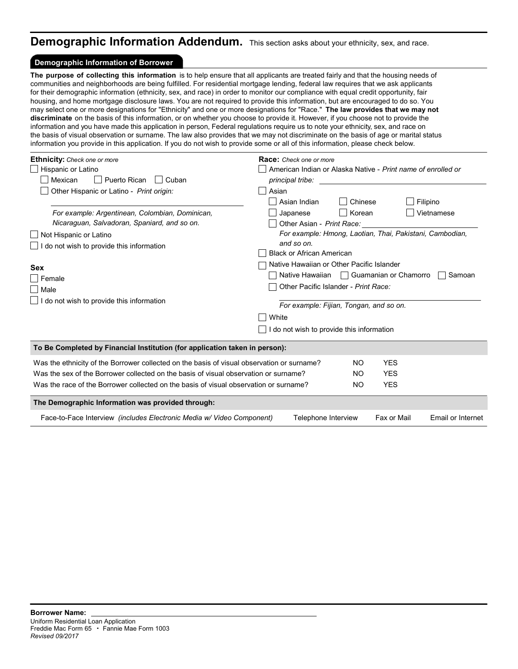## Demographic Information Addendum. This section asks about your ethnicity, sex, and race.

## Demographic Information of Borrower

| <b>Demographic Information Addendum.</b> This section asks about your ethnicity, sex, and race.<br>Demographic Information of Borrower<br>The purpose of collecting this information is to help ensure that all applicants are treated fairly and that the housing needs of<br>communities and neighborhoods are being fulfilled. For residential mortgage lending, federal law requires that we ask applicants<br>for their demographic information (ethnicity, sex, and race) in order to monitor our compliance with equal credit opportunity, fair<br>housing, and home mortgage disclosure laws. You are not required to provide this information, but are encouraged to do so. You<br>may select one or more designations for "Ethnicity" and one or more designations for "Race." The law provides that we may not<br>discriminate on the basis of this information, or on whether you choose to provide it. However, if you choose not to provide the<br>information and you have made this application in person, Federal regulations require us to note your ethnicity, sex, and race on<br>the basis of visual observation or surname. The law also provides that we may not discriminate on the basis of age or marital status<br>information you provide in this application. If you do not wish to provide some or all of this information, please check below.<br>Ethnicity: Check one or more<br><b>Race:</b> Check one or more<br>$\Box$ Hispanic or Latino<br>American Indian or Alaska Native - Print name of enrolled or<br>Puerto Rican Cuban<br>$\Box$ Mexican<br>principal tribe:<br>Other Hispanic or Latino - Print origin:<br>$\Box$ Asian<br>$\Box$ Filipino<br>$\Box$ Asian Indian<br>Chinese<br>$\Box$ Vietnamese<br>For example: Argentinean, Colombian, Dominican,<br>Korean<br>$\Box$ Japanese<br>Nicaraguan, Salvadoran, Spaniard, and so on.<br>Other Asian - Print Race: |
|-------------------------------------------------------------------------------------------------------------------------------------------------------------------------------------------------------------------------------------------------------------------------------------------------------------------------------------------------------------------------------------------------------------------------------------------------------------------------------------------------------------------------------------------------------------------------------------------------------------------------------------------------------------------------------------------------------------------------------------------------------------------------------------------------------------------------------------------------------------------------------------------------------------------------------------------------------------------------------------------------------------------------------------------------------------------------------------------------------------------------------------------------------------------------------------------------------------------------------------------------------------------------------------------------------------------------------------------------------------------------------------------------------------------------------------------------------------------------------------------------------------------------------------------------------------------------------------------------------------------------------------------------------------------------------------------------------------------------------------------------------------------------------------------------------------------------------------------------------------------------------------------------------------|
|                                                                                                                                                                                                                                                                                                                                                                                                                                                                                                                                                                                                                                                                                                                                                                                                                                                                                                                                                                                                                                                                                                                                                                                                                                                                                                                                                                                                                                                                                                                                                                                                                                                                                                                                                                                                                                                                                                             |
|                                                                                                                                                                                                                                                                                                                                                                                                                                                                                                                                                                                                                                                                                                                                                                                                                                                                                                                                                                                                                                                                                                                                                                                                                                                                                                                                                                                                                                                                                                                                                                                                                                                                                                                                                                                                                                                                                                             |
|                                                                                                                                                                                                                                                                                                                                                                                                                                                                                                                                                                                                                                                                                                                                                                                                                                                                                                                                                                                                                                                                                                                                                                                                                                                                                                                                                                                                                                                                                                                                                                                                                                                                                                                                                                                                                                                                                                             |
|                                                                                                                                                                                                                                                                                                                                                                                                                                                                                                                                                                                                                                                                                                                                                                                                                                                                                                                                                                                                                                                                                                                                                                                                                                                                                                                                                                                                                                                                                                                                                                                                                                                                                                                                                                                                                                                                                                             |
|                                                                                                                                                                                                                                                                                                                                                                                                                                                                                                                                                                                                                                                                                                                                                                                                                                                                                                                                                                                                                                                                                                                                                                                                                                                                                                                                                                                                                                                                                                                                                                                                                                                                                                                                                                                                                                                                                                             |
|                                                                                                                                                                                                                                                                                                                                                                                                                                                                                                                                                                                                                                                                                                                                                                                                                                                                                                                                                                                                                                                                                                                                                                                                                                                                                                                                                                                                                                                                                                                                                                                                                                                                                                                                                                                                                                                                                                             |
|                                                                                                                                                                                                                                                                                                                                                                                                                                                                                                                                                                                                                                                                                                                                                                                                                                                                                                                                                                                                                                                                                                                                                                                                                                                                                                                                                                                                                                                                                                                                                                                                                                                                                                                                                                                                                                                                                                             |
|                                                                                                                                                                                                                                                                                                                                                                                                                                                                                                                                                                                                                                                                                                                                                                                                                                                                                                                                                                                                                                                                                                                                                                                                                                                                                                                                                                                                                                                                                                                                                                                                                                                                                                                                                                                                                                                                                                             |
|                                                                                                                                                                                                                                                                                                                                                                                                                                                                                                                                                                                                                                                                                                                                                                                                                                                                                                                                                                                                                                                                                                                                                                                                                                                                                                                                                                                                                                                                                                                                                                                                                                                                                                                                                                                                                                                                                                             |
| For example: Hmong, Laotian, Thai, Pakistani, Cambodian,<br>Not Hispanic or Latino                                                                                                                                                                                                                                                                                                                                                                                                                                                                                                                                                                                                                                                                                                                                                                                                                                                                                                                                                                                                                                                                                                                                                                                                                                                                                                                                                                                                                                                                                                                                                                                                                                                                                                                                                                                                                          |
| and so on.<br>$\Box$ I do not wish to provide this information<br><b>Black or African American</b>                                                                                                                                                                                                                                                                                                                                                                                                                                                                                                                                                                                                                                                                                                                                                                                                                                                                                                                                                                                                                                                                                                                                                                                                                                                                                                                                                                                                                                                                                                                                                                                                                                                                                                                                                                                                          |
| Native Hawaiian or Other Pacific Islander<br><b>Sex</b>                                                                                                                                                                                                                                                                                                                                                                                                                                                                                                                                                                                                                                                                                                                                                                                                                                                                                                                                                                                                                                                                                                                                                                                                                                                                                                                                                                                                                                                                                                                                                                                                                                                                                                                                                                                                                                                     |
| $\Box$ Native Hawaiian $\Box$ Guamanian or Chamorro<br>□ Samoan<br>  Female                                                                                                                                                                                                                                                                                                                                                                                                                                                                                                                                                                                                                                                                                                                                                                                                                                                                                                                                                                                                                                                                                                                                                                                                                                                                                                                                                                                                                                                                                                                                                                                                                                                                                                                                                                                                                                 |
| Other Pacific Islander - Print Race:<br>$\Box$ Male                                                                                                                                                                                                                                                                                                                                                                                                                                                                                                                                                                                                                                                                                                                                                                                                                                                                                                                                                                                                                                                                                                                                                                                                                                                                                                                                                                                                                                                                                                                                                                                                                                                                                                                                                                                                                                                         |
| $\Box$ I do not wish to provide this information<br>For example: Fijian, Tongan, and so on.                                                                                                                                                                                                                                                                                                                                                                                                                                                                                                                                                                                                                                                                                                                                                                                                                                                                                                                                                                                                                                                                                                                                                                                                                                                                                                                                                                                                                                                                                                                                                                                                                                                                                                                                                                                                                 |
| White                                                                                                                                                                                                                                                                                                                                                                                                                                                                                                                                                                                                                                                                                                                                                                                                                                                                                                                                                                                                                                                                                                                                                                                                                                                                                                                                                                                                                                                                                                                                                                                                                                                                                                                                                                                                                                                                                                       |
| $\Box$ I do not wish to provide this information                                                                                                                                                                                                                                                                                                                                                                                                                                                                                                                                                                                                                                                                                                                                                                                                                                                                                                                                                                                                                                                                                                                                                                                                                                                                                                                                                                                                                                                                                                                                                                                                                                                                                                                                                                                                                                                            |
| To Be Completed by Financial Institution (for application taken in person):                                                                                                                                                                                                                                                                                                                                                                                                                                                                                                                                                                                                                                                                                                                                                                                                                                                                                                                                                                                                                                                                                                                                                                                                                                                                                                                                                                                                                                                                                                                                                                                                                                                                                                                                                                                                                                 |
|                                                                                                                                                                                                                                                                                                                                                                                                                                                                                                                                                                                                                                                                                                                                                                                                                                                                                                                                                                                                                                                                                                                                                                                                                                                                                                                                                                                                                                                                                                                                                                                                                                                                                                                                                                                                                                                                                                             |
| <b>YES</b><br><b>NO</b><br>Was the ethnicity of the Borrower collected on the basis of visual observation or surname?<br>Was the sex of the Borrower collected on the basis of visual observation or surname?<br><b>YES</b><br>NO<br><b>YES</b><br>Was the race of the Borrower collected on the basis of visual observation or surname?<br>NO.                                                                                                                                                                                                                                                                                                                                                                                                                                                                                                                                                                                                                                                                                                                                                                                                                                                                                                                                                                                                                                                                                                                                                                                                                                                                                                                                                                                                                                                                                                                                                             |
| The Demographic Information was provided through:                                                                                                                                                                                                                                                                                                                                                                                                                                                                                                                                                                                                                                                                                                                                                                                                                                                                                                                                                                                                                                                                                                                                                                                                                                                                                                                                                                                                                                                                                                                                                                                                                                                                                                                                                                                                                                                           |
|                                                                                                                                                                                                                                                                                                                                                                                                                                                                                                                                                                                                                                                                                                                                                                                                                                                                                                                                                                                                                                                                                                                                                                                                                                                                                                                                                                                                                                                                                                                                                                                                                                                                                                                                                                                                                                                                                                             |
| Telephone Interview<br>Face-to-Face Interview (includes Electronic Media w/ Video Component)<br>Fax or Mail<br>Email or Internet                                                                                                                                                                                                                                                                                                                                                                                                                                                                                                                                                                                                                                                                                                                                                                                                                                                                                                                                                                                                                                                                                                                                                                                                                                                                                                                                                                                                                                                                                                                                                                                                                                                                                                                                                                            |